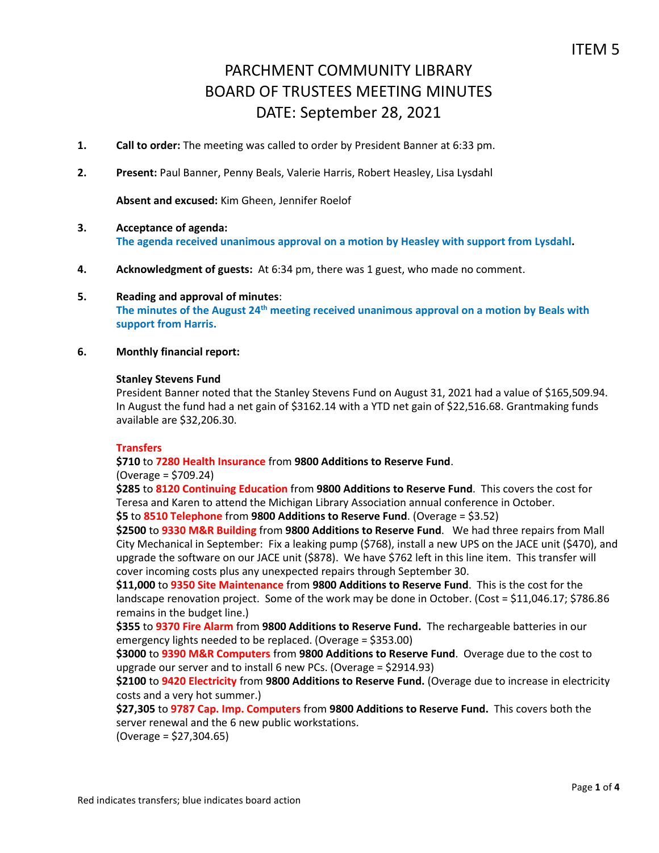- **1. Call to order:** The meeting was called to order by President Banner at 6:33 pm.
- **2. Present:** Paul Banner, Penny Beals, Valerie Harris, Robert Heasley, Lisa Lysdahl

**Absent and excused:** Kim Gheen, Jennifer Roelof

- **3. Acceptance of agenda: The agenda received unanimous approval on a motion by Heasley with support from Lysdahl.**
- **4. Acknowledgment of guests:** At 6:34 pm, there was 1 guest, who made no comment.
- **5. Reading and approval of minutes**: **The minutes of the August 24th meeting received unanimous approval on a motion by Beals with support from Harris.**
- **6. Monthly financial report:**

#### **Stanley Stevens Fund**

President Banner noted that the Stanley Stevens Fund on August 31, 2021 had a value of \$165,509.94. In August the fund had a net gain of \$3162.14 with a YTD net gain of \$22,516.68. Grantmaking funds available are \$32,206.30.

#### **Transfers**

## **\$710** to **7280 Health Insurance** from **9800 Additions to Reserve Fund**.

#### (Overage = \$709.24)

**\$285** to **8120 Continuing Education** from **9800 Additions to Reserve Fund**. This covers the cost for Teresa and Karen to attend the Michigan Library Association annual conference in October.

**\$5** to **8510 Telephone** from **9800 Additions to Reserve Fund**. (Overage = \$3.52)

**\$2500** to **9330 M&R Building** from **9800 Additions to Reserve Fund**. We had three repairs from Mall City Mechanical in September: Fix a leaking pump (\$768), install a new UPS on the JACE unit (\$470), and upgrade the software on our JACE unit (\$878). We have \$762 left in this line item. This transfer will cover incoming costs plus any unexpected repairs through September 30.

**\$11,000** to **9350 Site Maintenance** from **9800 Additions to Reserve Fund**. This is the cost for the landscape renovation project. Some of the work may be done in October. (Cost = \$11,046.17; \$786.86 remains in the budget line.)

**\$355** to **9370 Fire Alarm** from **9800 Additions to Reserve Fund.** The rechargeable batteries in our emergency lights needed to be replaced. (Overage = \$353.00)

**\$3000** to **9390 M&R Computers** from **9800 Additions to Reserve Fund**. Overage due to the cost to upgrade our server and to install 6 new PCs. (Overage = \$2914.93)

**\$2100** to **9420 Electricity** from **9800 Additions to Reserve Fund.** (Overage due to increase in electricity costs and a very hot summer.)

**\$27,305** to **9787 Cap. Imp. Computers** from **9800 Additions to Reserve Fund.** This covers both the server renewal and the 6 new public workstations.

(Overage = \$27,304.65)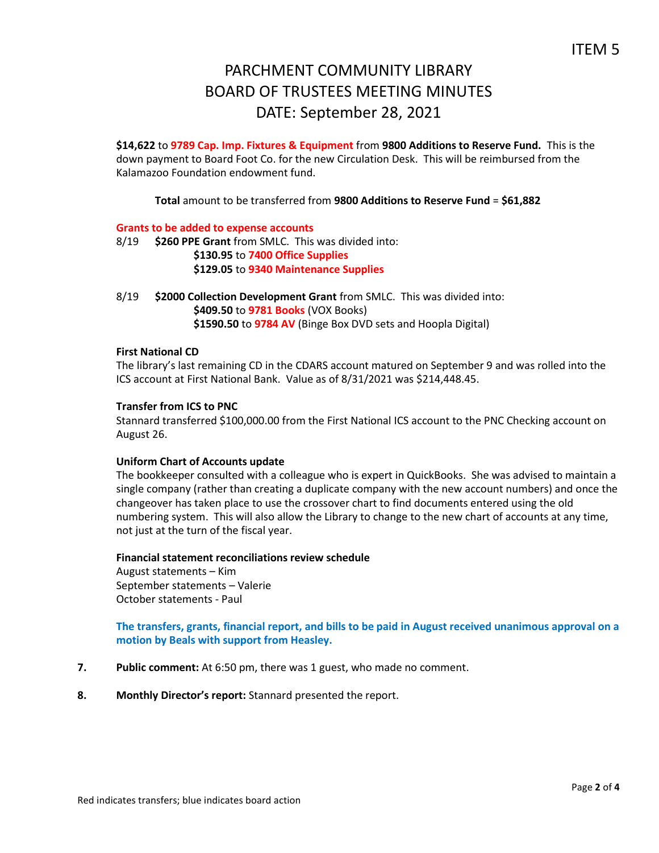**\$14,622** to **9789 Cap. Imp. Fixtures & Equipment** from **9800 Additions to Reserve Fund.** This is the down payment to Board Foot Co. for the new Circulation Desk. This will be reimbursed from the Kalamazoo Foundation endowment fund.

**Total** amount to be transferred from **9800 Additions to Reserve Fund** = **\$61,882**

## **Grants to be added to expense accounts**

- 8/19 **\$260 PPE Grant** from SMLC. This was divided into: **\$130.95** to **7400 Office Supplies \$129.05** to **9340 Maintenance Supplies**
- 8/19 **\$2000 Collection Development Grant** from SMLC. This was divided into: **\$409.50** to **9781 Books** (VOX Books) **\$1590.50** to **9784 AV** (Binge Box DVD sets and Hoopla Digital)

## **First National CD**

The library's last remaining CD in the CDARS account matured on September 9 and was rolled into the ICS account at First National Bank. Value as of 8/31/2021 was \$214,448.45.

#### **Transfer from ICS to PNC**

Stannard transferred \$100,000.00 from the First National ICS account to the PNC Checking account on August 26.

#### **Uniform Chart of Accounts update**

The bookkeeper consulted with a colleague who is expert in QuickBooks. She was advised to maintain a single company (rather than creating a duplicate company with the new account numbers) and once the changeover has taken place to use the crossover chart to find documents entered using the old numbering system. This will also allow the Library to change to the new chart of accounts at any time, not just at the turn of the fiscal year.

#### **Financial statement reconciliations review schedule**

August statements – Kim September statements – Valerie October statements - Paul

**The transfers, grants, financial report, and bills to be paid in August received unanimous approval on a motion by Beals with support from Heasley.**

- **7. Public comment:** At 6:50 pm, there was 1 guest, who made no comment.
- **8. Monthly Director's report:** Stannard presented the report.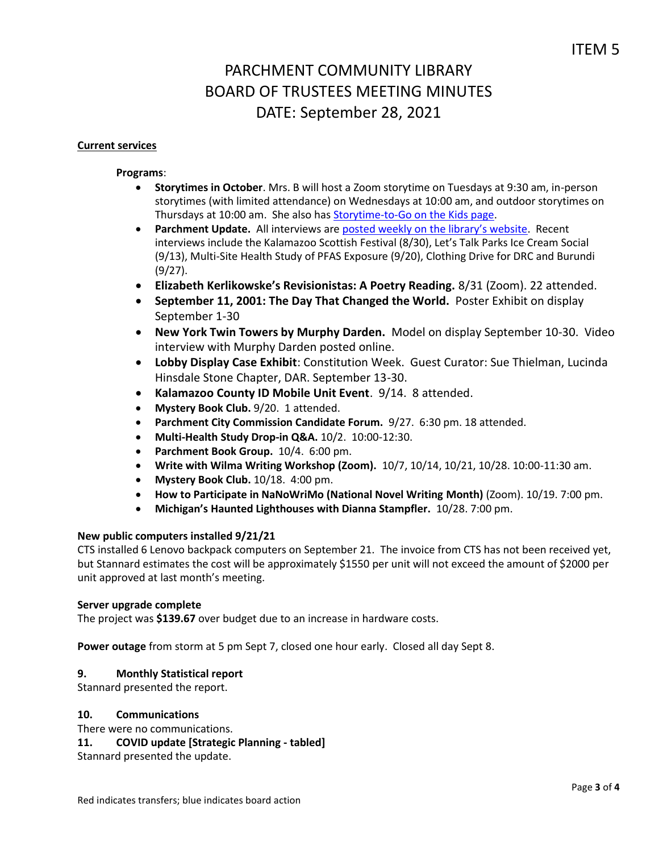## **Current services**

## **Programs**:

- **Storytimes in October**. Mrs. B will host a Zoom storytime on Tuesdays at 9:30 am, in-person storytimes (with limited attendance) on Wednesdays at 10:00 am, and outdoor storytimes on Thursdays at 10:00 am. She also has [Storytime-to-Go on the Kids page.](https://www.parchmentlibrary.org/storytimes-programs)
- **Parchment Update.** All interviews are [posted weekly on the library's website](https://www.parchmentlibrary.org/parchment-update). Recent interviews include the Kalamazoo Scottish Festival (8/30), Let's Talk Parks Ice Cream Social (9/13), Multi-Site Health Study of PFAS Exposure (9/20), Clothing Drive for DRC and Burundi (9/27).
- **Elizabeth Kerlikowske's Revisionistas: A Poetry Reading.** 8/31 (Zoom). 22 attended.
- **September 11, 2001: The Day That Changed the World.** Poster Exhibit on display September 1-30
- **New York Twin Towers by Murphy Darden.** Model on display September 10-30. Video interview with Murphy Darden posted online.
- **Lobby Display Case Exhibit**: Constitution Week. Guest Curator: Sue Thielman, Lucinda Hinsdale Stone Chapter, DAR. September 13-30.
- **Kalamazoo County ID Mobile Unit Event**. 9/14. 8 attended.
- **Mystery Book Club.** 9/20. 1 attended.
- **Parchment City Commission Candidate Forum.** 9/27. 6:30 pm. 18 attended.
- **Multi-Health Study Drop-in Q&A.** 10/2. 10:00-12:30.
- **Parchment Book Group.** 10/4. 6:00 pm.
- **Write with Wilma Writing Workshop (Zoom).** 10/7, 10/14, 10/21, 10/28. 10:00-11:30 am.
- **Mystery Book Club.** 10/18. 4:00 pm.
- **How to Participate in NaNoWriMo (National Novel Writing Month)** (Zoom). 10/19. 7:00 pm.
- **Michigan's Haunted Lighthouses with Dianna Stampfler.** 10/28. 7:00 pm.

# **New public computers installed 9/21/21**

CTS installed 6 Lenovo backpack computers on September 21. The invoice from CTS has not been received yet, but Stannard estimates the cost will be approximately \$1550 per unit will not exceed the amount of \$2000 per unit approved at last month's meeting.

#### **Server upgrade complete**

The project was **\$139.67** over budget due to an increase in hardware costs.

**Power outage** from storm at 5 pm Sept 7, closed one hour early. Closed all day Sept 8.

#### **9. Monthly Statistical report**

Stannard presented the report.

#### **10. Communications**

There were no communications.

# **11. COVID update [Strategic Planning - tabled]**

Stannard presented the update.